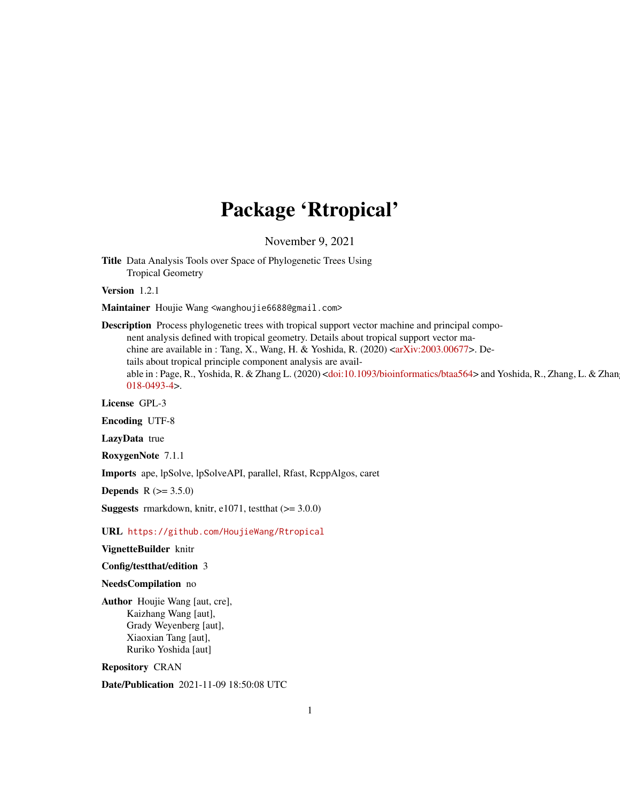# Package 'Rtropical'

November 9, 2021

Title Data Analysis Tools over Space of Phylogenetic Trees Using Tropical Geometry

Version 1.2.1

Maintainer Houjie Wang <wanghoujie6688@gmail.com>

Description Process phylogenetic trees with tropical support vector machine and principal component analysis defined with tropical geometry. Details about tropical support vector machine are available in : Tang, X., Wang, H. & Yoshida, R. (2020)  $\langle \text{arXiv:} 2003.00677 \rangle$ . Details about tropical principle component analysis are avail-able in : Page, R., Yoshida, R. & Zhang L. (2020) [<doi:10.1093/bioinformatics/btaa564>](https://doi.org/10.1093/bioinformatics/btaa564) and Yoshida, R., Zhang, L. & Zhan [018-0493-4>](https://doi.org/10.1007/s11538-018-0493-4).

License GPL-3

Encoding UTF-8

LazyData true

RoxygenNote 7.1.1

Imports ape, lpSolve, lpSolveAPI, parallel, Rfast, RcppAlgos, caret

**Depends** R  $(>= 3.5.0)$ 

**Suggests** rmarkdown, knitr, e1071, test that  $(>= 3.0.0)$ 

URL <https://github.com/HoujieWang/Rtropical>

VignetteBuilder knitr

Config/testthat/edition 3

NeedsCompilation no

Author Houjie Wang [aut, cre], Kaizhang Wang [aut], Grady Weyenberg [aut], Xiaoxian Tang [aut], Ruriko Yoshida [aut]

Repository CRAN

Date/Publication 2021-11-09 18:50:08 UTC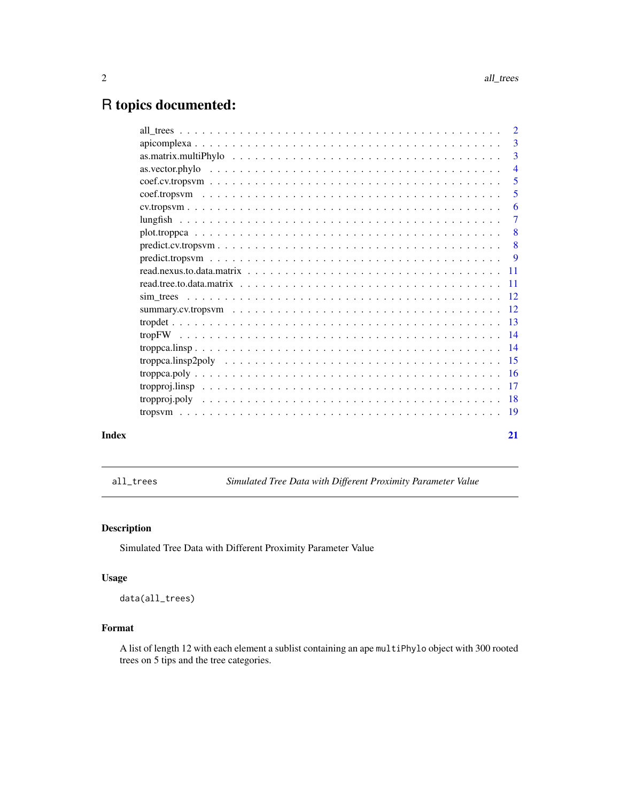# <span id="page-1-0"></span>R topics documented:

|       | $\overline{4}$             |
|-------|----------------------------|
|       | $\overline{\phantom{0}}$ 5 |
|       | 5                          |
|       | -6                         |
|       | -7                         |
|       |                            |
|       |                            |
|       |                            |
|       |                            |
|       |                            |
|       |                            |
|       |                            |
|       |                            |
|       |                            |
|       |                            |
|       |                            |
|       |                            |
|       |                            |
|       |                            |
|       |                            |
| Index | 21                         |
|       |                            |

all\_trees *Simulated Tree Data with Different Proximity Parameter Value*

# Description

Simulated Tree Data with Different Proximity Parameter Value

# Usage

data(all\_trees)

# Format

A list of length 12 with each element a sublist containing an ape multiPhylo object with 300 rooted trees on 5 tips and the tree categories.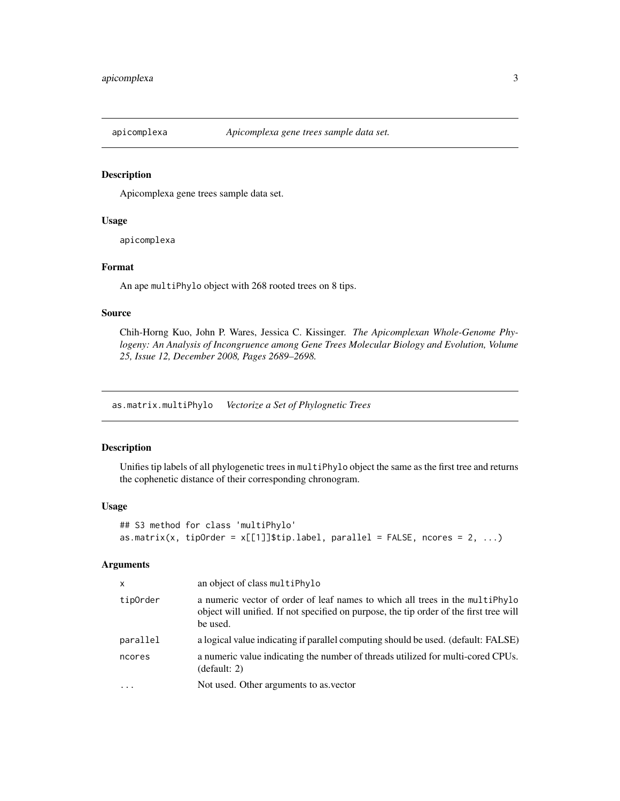<span id="page-2-0"></span>

Apicomplexa gene trees sample data set.

#### Usage

apicomplexa

# Format

An ape multiPhylo object with 268 rooted trees on 8 tips.

# Source

Chih-Horng Kuo, John P. Wares, Jessica C. Kissinger. *The Apicomplexan Whole-Genome Phylogeny: An Analysis of Incongruence among Gene Trees Molecular Biology and Evolution, Volume 25, Issue 12, December 2008, Pages 2689–2698.*

as.matrix.multiPhylo *Vectorize a Set of Phylognetic Trees*

#### Description

Unifies tip labels of all phylogenetic trees in multiPhylo object the same as the first tree and returns the cophenetic distance of their corresponding chronogram.

#### Usage

```
## S3 method for class 'multiPhylo'
as.matrix(x, tipOrder = x[[1]]$tip.label, parallel = FALSE, ncores = 2, ...)
```
#### Arguments

| $\mathsf{x}$ | an object of class multiPhylo                                                                                                                                                      |
|--------------|------------------------------------------------------------------------------------------------------------------------------------------------------------------------------------|
| tipOrder     | a numeric vector of order of leaf names to which all trees in the multiphylo<br>object will unified. If not specified on purpose, the tip order of the first tree will<br>be used. |
| parallel     | a logical value indicating if parallel computing should be used. (default: FALSE)                                                                                                  |
| ncores       | a numeric value indicating the number of threads utilized for multi-cored CPUs.<br>(default: 2)                                                                                    |
|              | Not used. Other arguments to as vector                                                                                                                                             |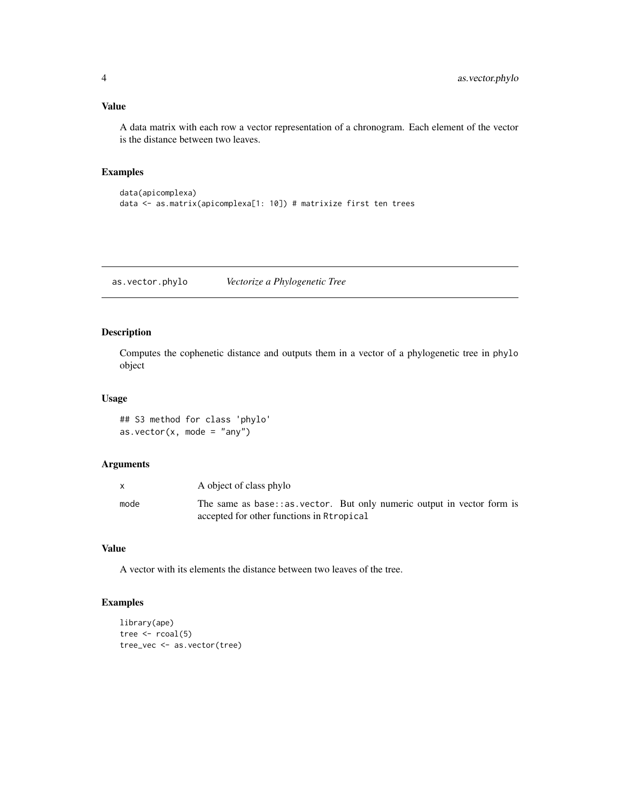#### <span id="page-3-0"></span>Value

A data matrix with each row a vector representation of a chronogram. Each element of the vector is the distance between two leaves.

# Examples

```
data(apicomplexa)
data <- as.matrix(apicomplexa[1: 10]) # matrixize first ten trees
```
as.vector.phylo *Vectorize a Phylogenetic Tree*

# Description

Computes the cophenetic distance and outputs them in a vector of a phylogenetic tree in phylo object

# Usage

## S3 method for class 'phylo' as.vector( $x$ , mode = "any")

#### Arguments

|      | A object of class phylo                                                                                               |
|------|-----------------------------------------------------------------------------------------------------------------------|
| mode | The same as base: : as vector. But only numeric output in vector form is<br>accepted for other functions in Rtropical |

#### Value

A vector with its elements the distance between two leaves of the tree.

#### Examples

```
library(ape)
tree <- rcoal(5)
tree_vec <- as.vector(tree)
```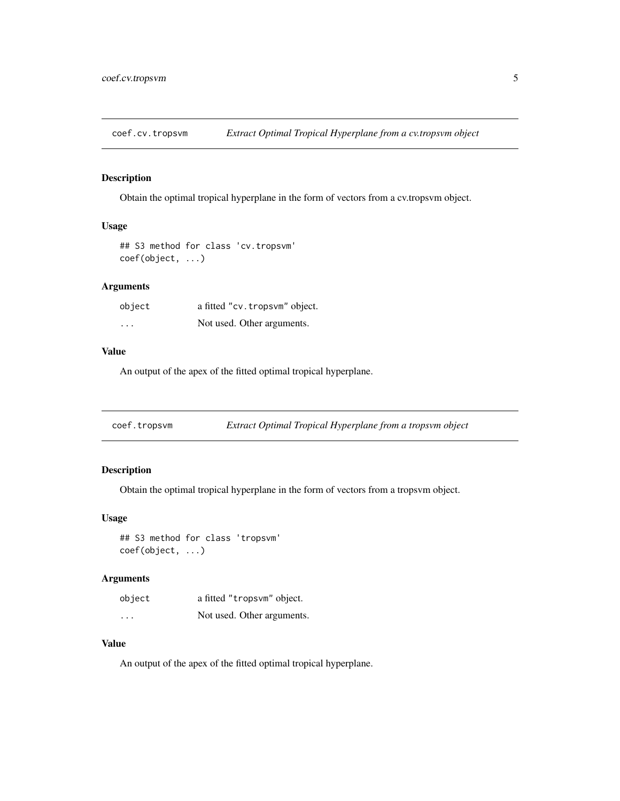<span id="page-4-0"></span>coef.cv.tropsvm *Extract Optimal Tropical Hyperplane from a cv.tropsvm object*

# Description

Obtain the optimal tropical hyperplane in the form of vectors from a cv.tropsvm object.

#### Usage

```
## S3 method for class 'cv.tropsvm'
coef(object, ...)
```
# Arguments

| object                  | a fitted "cv. tropsym" object. |
|-------------------------|--------------------------------|
| $\cdot$ $\cdot$ $\cdot$ | Not used. Other arguments.     |

# Value

An output of the apex of the fitted optimal tropical hyperplane.

| coef.tropsvm | Extract Optimal Tropical Hyperplane from a tropsvm object |  |
|--------------|-----------------------------------------------------------|--|
|              |                                                           |  |

# Description

Obtain the optimal tropical hyperplane in the form of vectors from a tropsvm object.

# Usage

## S3 method for class 'tropsvm' coef(object, ...)

# Arguments

| object   | a fitted "tropsvm" object. |
|----------|----------------------------|
| $\cdots$ | Not used. Other arguments. |

#### Value

An output of the apex of the fitted optimal tropical hyperplane.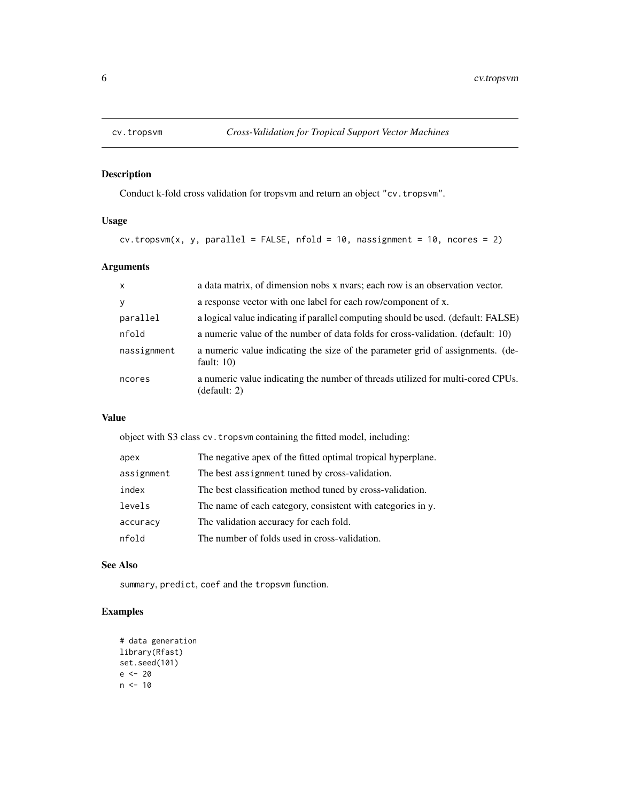<span id="page-5-0"></span>

Conduct k-fold cross validation for tropsvm and return an object "cv.tropsvm".

# Usage

```
cv.tropswm(x, y, parallel = FALSE, nfold = 10, nassignment = 10, ncores = 2)
```
# Arguments

| $\mathsf{x}$ | a data matrix, of dimension nobs x nyars; each row is an observation vector.                    |
|--------------|-------------------------------------------------------------------------------------------------|
| V            | a response vector with one label for each row/component of x.                                   |
| parallel     | a logical value indicating if parallel computing should be used. (default: FALSE)               |
| nfold        | a numeric value of the number of data folds for cross-validation. (default: 10)                 |
| nassignment  | a numeric value indicating the size of the parameter grid of assignments. (de-<br>fault: $10$ ) |
| ncores       | a numeric value indicating the number of threads utilized for multi-cored CPUs.<br>(default: 2) |

# Value

object with S3 class cv.tropsvm containing the fitted model, including:

| apex       | The negative apex of the fitted optimal tropical hyperplane. |
|------------|--------------------------------------------------------------|
| assignment | The best assignment tuned by cross-validation.               |
| index      | The best classification method tuned by cross-validation.    |
| levels     | The name of each category, consistent with categories in y.  |
| accuracy   | The validation accuracy for each fold.                       |
| nfold      | The number of folds used in cross-validation.                |

#### See Also

summary, predict, coef and the tropsvm function.

# Examples

```
# data generation
library(Rfast)
set.seed(101)
e <- 20
n < -10
```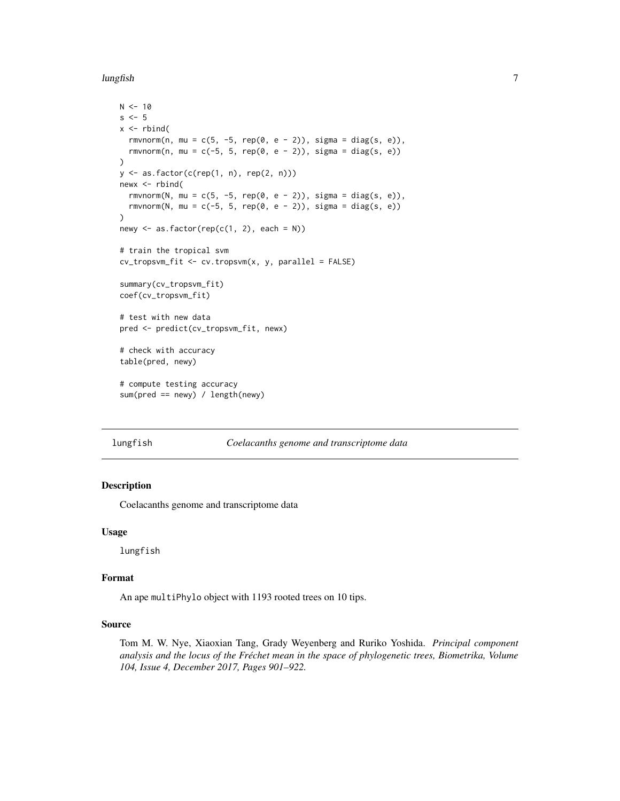<span id="page-6-0"></span>lungfish 7

```
N < -10s \leq -5x \leftarrow \text{rbind}(rmvnorm(n, mu = c(5, -5, rep(0, e - 2)), sigma = diag(s, e)),
  rmvnorm(n, mu = c(-5, 5, rep(0, e - 2)), sigma = diag(s, e))
\lambday \leftarrow as.factor(c(rep(1, n), rep(2, n)))newx < -rbind(
  rmvnorm(N, mu = c(5, -5, rep(0, e - 2)), sigma = diag(s, e)),
  rmvnorm(N, mu = c(-5, 5, rep(0, e - 2)), sigma = diag(s, e))
)
newy \leq as. factor(rep(c(1, 2), each = N))
# train the tropical svm
cv_tropsvm_fit <- cv.tropsvm(x, y, parallel = FALSE)
summary(cv_tropsvm_fit)
coef(cv_tropsvm_fit)
# test with new data
pred <- predict(cv_tropsvm_fit, newx)
# check with accuracy
table(pred, newy)
# compute testing accuracy
sum(pred == newy) / length(newy)
```
lungfish *Coelacanths genome and transcriptome data*

#### Description

Coelacanths genome and transcriptome data

#### Usage

lungfish

#### Format

An ape multiPhylo object with 1193 rooted trees on 10 tips.

#### Source

Tom M. W. Nye, Xiaoxian Tang, Grady Weyenberg and Ruriko Yoshida. *Principal component analysis and the locus of the Fréchet mean in the space of phylogenetic trees, Biometrika, Volume 104, Issue 4, December 2017, Pages 901–922.*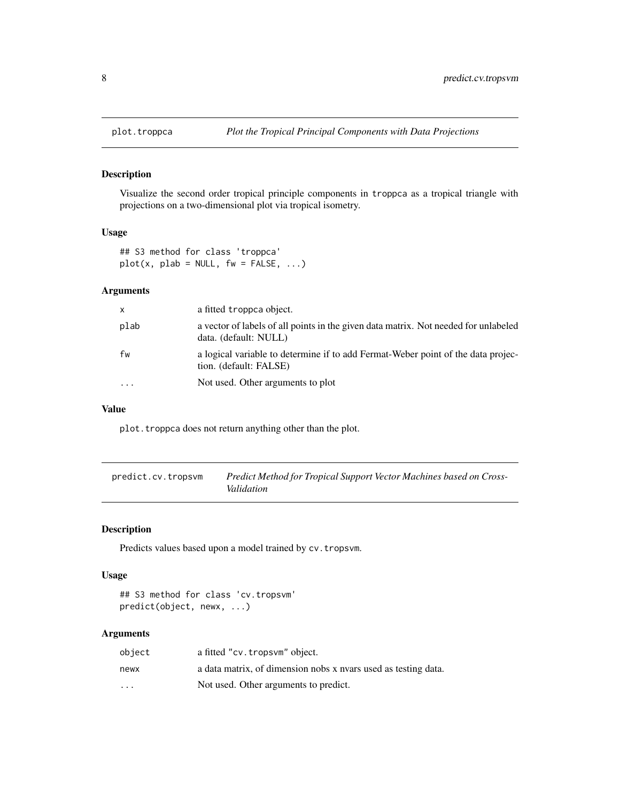Visualize the second order tropical principle components in troppca as a tropical triangle with projections on a two-dimensional plot via tropical isometry.

# Usage

## S3 method for class 'troppca'  $plot(x, plab = NULL, fw = FALSE, ...)$ 

#### Arguments

| $\mathsf{x}$ | a fitted troppca object.                                                                                     |
|--------------|--------------------------------------------------------------------------------------------------------------|
| plab         | a vector of labels of all points in the given data matrix. Not needed for unlabeled<br>data. (default: NULL) |
| fw           | a logical variable to determine if to add Fermat-Weber point of the data projec-<br>tion. (default: FALSE)   |
|              | Not used. Other arguments to plot                                                                            |

#### Value

plot.troppca does not return anything other than the plot.

predict.cv.tropsvm *Predict Method for Tropical Support Vector Machines based on Cross-Validation*

#### Description

Predicts values based upon a model trained by cv.tropsvm.

#### Usage

```
## S3 method for class 'cv.tropsvm'
predict(object, newx, ...)
```
# Arguments

| object                  | a fitted "cv.tropsym" object.                                  |
|-------------------------|----------------------------------------------------------------|
| newx                    | a data matrix, of dimension nobs x nyars used as testing data. |
| $\cdot$ $\cdot$ $\cdot$ | Not used. Other arguments to predict.                          |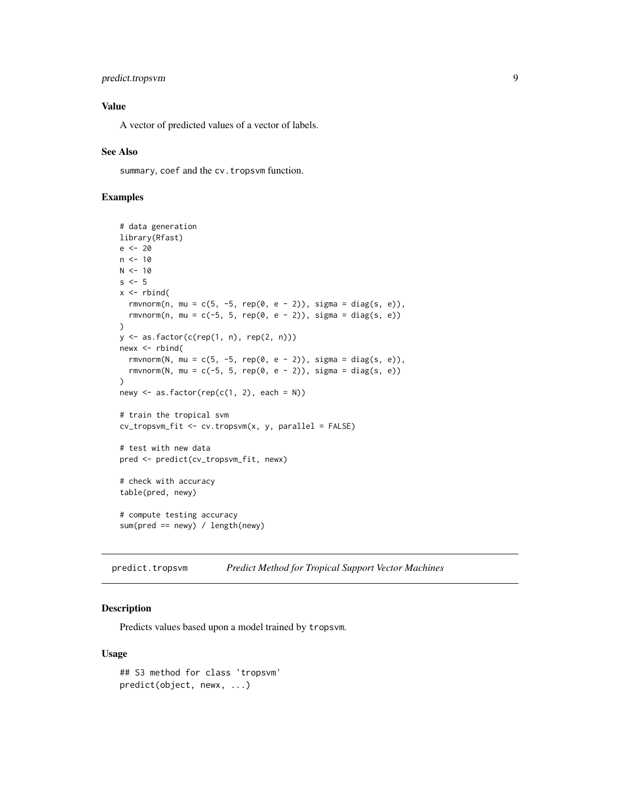# <span id="page-8-0"></span>predict.tropsvm 9

# Value

A vector of predicted values of a vector of labels.

#### See Also

summary, coef and the cv.tropsvm function.

# Examples

```
# data generation
library(Rfast)
e <- 20
n < -10N < -10s \leq -5x \leftarrow \text{rbind}(rmvnorm(n, mu = c(5, -5, rep(0, e - 2)), sigma = diag(s, e)),
  rmvnorm(n, mu = c(-5, 5, rep(0, e - 2)), sigma = diag(s, e))
)
y \leftarrow as.factor(c(rep(1, n), rep(2, n)))newx <- rbind(
  rmvnorm(N, mu = c(5, -5, rep(0, e - 2)), sigma = diag(s, e)),
  rmvnorm(N, mu = c(-5, 5, rep(0, e - 2)), sigma = diag(s, e))
)
newy \leq as. factor(rep(c(1, 2), each = N))
# train the tropical svm
cv_tropsvm_fit <- cv.tropsvm(x, y, parallel = FALSE)
# test with new data
pred <- predict(cv_tropsvm_fit, newx)
# check with accuracy
table(pred, newy)
# compute testing accuracy
sum(pred == newy) / length(newy)
```
predict.tropsvm *Predict Method for Tropical Support Vector Machines*

#### Description

Predicts values based upon a model trained by tropsvm.

#### Usage

```
## S3 method for class 'tropsvm'
predict(object, newx, ...)
```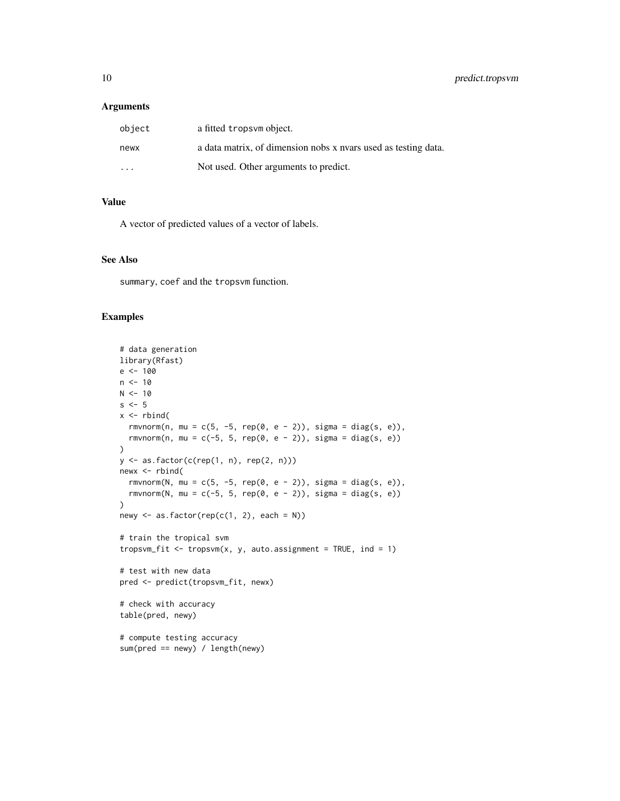#### Arguments

| object                  | a fitted tropsym object.                                       |
|-------------------------|----------------------------------------------------------------|
| newx                    | a data matrix, of dimension nobs x nyars used as testing data. |
| $\cdot$ $\cdot$ $\cdot$ | Not used. Other arguments to predict.                          |

# Value

A vector of predicted values of a vector of labels.

#### See Also

summary, coef and the tropsvm function.

# Examples

```
# data generation
library(Rfast)
e <- 100
n < -10N < - 10s \leq -5x \leftarrow \text{rbind}(rmvnorm(n, mu = c(5, -5, rep(0, e - 2)), sigma = diag(s, e)),
  rmvnorm(n, mu = c(-5, 5, rep(0, e - 2)), sigma = diag(s, e))
\mathcal{L}y <- as.factor(c(rep(1, n), rep(2, n)))
newx < -rbind(
 rmvnorm(N, mu = c(5, -5, rep(0, e - 2)), sigma = diag(s, e)),
  rmvnorm(N, mu = c(-5, 5, rep(0, e - 2)), sigma = diag(s, e))
)
newy \leq as. factor(rep(c(1, 2), each = N))
# train the tropical svm
tropsvm_fit \leq tropsvm(x, y, auto.assignment = TRUE, ind = 1)
# test with new data
pred <- predict(tropsvm_fit, newx)
# check with accuracy
table(pred, newy)
# compute testing accuracy
sum(pred == newy) / length(newy)
```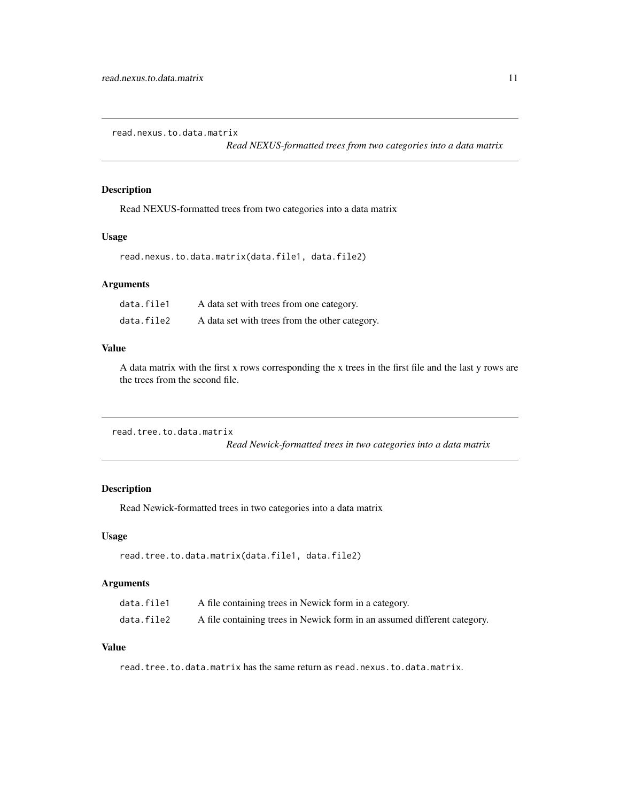<span id="page-10-0"></span>read.nexus.to.data.matrix

*Read NEXUS-formatted trees from two categories into a data matrix*

# Description

Read NEXUS-formatted trees from two categories into a data matrix

#### Usage

read.nexus.to.data.matrix(data.file1, data.file2)

# Arguments

| data.file1 | A data set with trees from one category.       |
|------------|------------------------------------------------|
| data.file2 | A data set with trees from the other category. |

#### Value

A data matrix with the first x rows corresponding the x trees in the first file and the last y rows are the trees from the second file.

```
read.tree.to.data.matrix
```
*Read Newick-formatted trees in two categories into a data matrix*

# Description

Read Newick-formatted trees in two categories into a data matrix

#### Usage

```
read.tree.to.data.matrix(data.file1, data.file2)
```
# Arguments

| data.file1 | A file containing trees in Newick form in a category.                    |
|------------|--------------------------------------------------------------------------|
| data.file2 | A file containing trees in Newick form in an assumed different category. |

# Value

read.tree.to.data.matrix has the same return as read.nexus.to.data.matrix.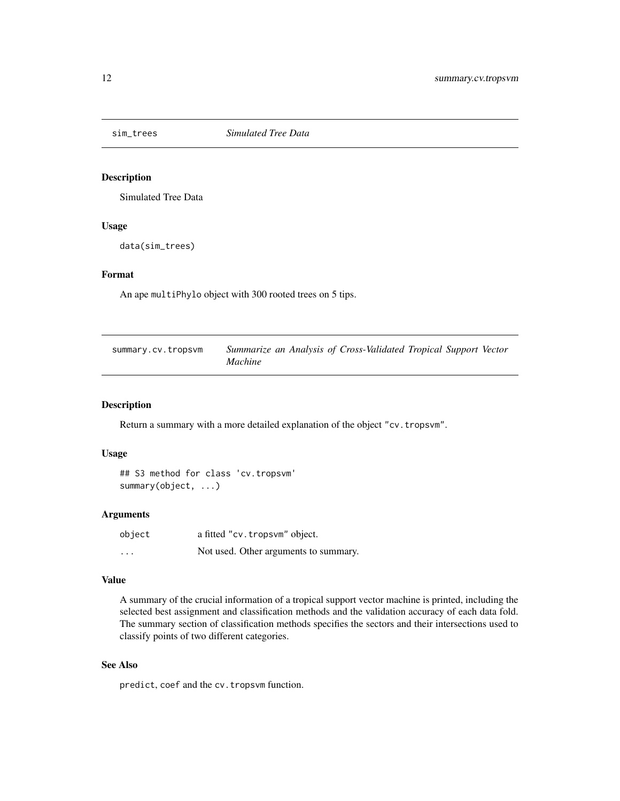<span id="page-11-0"></span>

Simulated Tree Data

#### Usage

data(sim\_trees)

### Format

An ape multiPhylo object with 300 rooted trees on 5 tips.

| summary.cv.tropsvm | Summarize an Analysis of Cross-Validated Tropical Support Vector |
|--------------------|------------------------------------------------------------------|
|                    | <i>Machine</i>                                                   |

#### Description

Return a summary with a more detailed explanation of the object "cv.tropsvm".

#### Usage

```
## S3 method for class 'cv.tropsvm'
summary(object, ...)
```
#### Arguments

| object                  | a fitted "cv.tropsvm" object.         |
|-------------------------|---------------------------------------|
| $\cdot$ $\cdot$ $\cdot$ | Not used. Other arguments to summary. |

#### Value

A summary of the crucial information of a tropical support vector machine is printed, including the selected best assignment and classification methods and the validation accuracy of each data fold. The summary section of classification methods specifies the sectors and their intersections used to classify points of two different categories.

#### See Also

predict, coef and the cv.tropsvm function.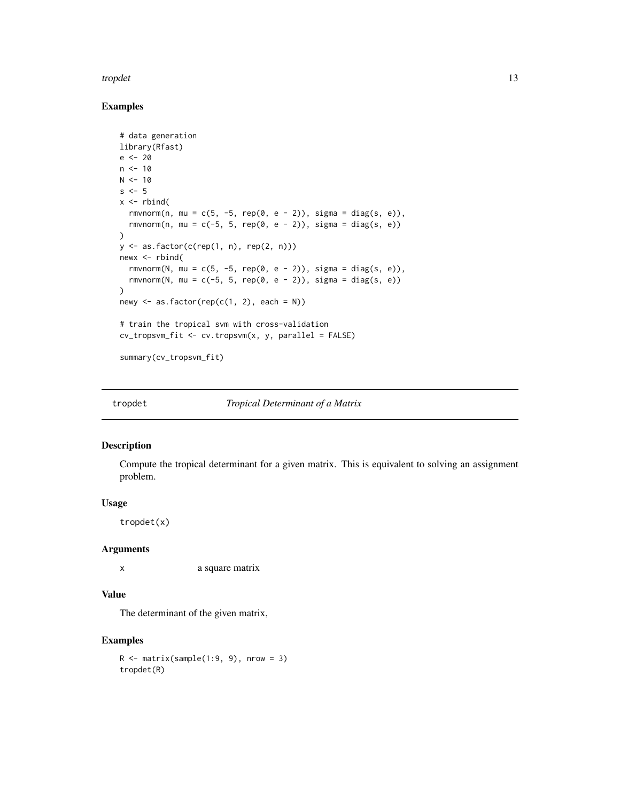#### <span id="page-12-0"></span>tropdet the state of the state of the state of the state of the state of the state of the state of the state of the state of the state of the state of the state of the state of the state of the state of the state of the st

#### Examples

```
# data generation
library(Rfast)
e <- 20
n < -10N < - 10s \leq -5x \leftarrow \text{rbind}(rmvnorm(n, mu = c(5, -5, rep(0, e - 2)), sigma = diag(s, e)),
  rmvnorm(n, mu = c(-5, 5, rep(0, e - 2)), sigma = diag(s, e))
\mathcal{L}y <- as.factor(c(rep(1, n), rep(2, n)))
newx <- rbind(
  rmvnorm(N, mu = c(5, -5, rep(0, e - 2)), sigma = diag(s, e)),
  rmvnorm(N, mu = c(-5, 5, rep(0, e - 2)), sigma = diag(s, e))
\lambdanewy \leq as. factor(rep(c(1, 2), each = N))
# train the tropical svm with cross-validation
cv_tropsvm_fit <- cv.tropsvm(x, y, parallel = FALSE)
summary(cv_tropsvm_fit)
```
tropdet *Tropical Determinant of a Matrix*

# Description

Compute the tropical determinant for a given matrix. This is equivalent to solving an assignment problem.

#### Usage

tropdet(x)

#### Arguments

x a square matrix

# Value

The determinant of the given matrix,

#### Examples

 $R \leq -$  matrix(sample(1:9, 9), nrow = 3) tropdet(R)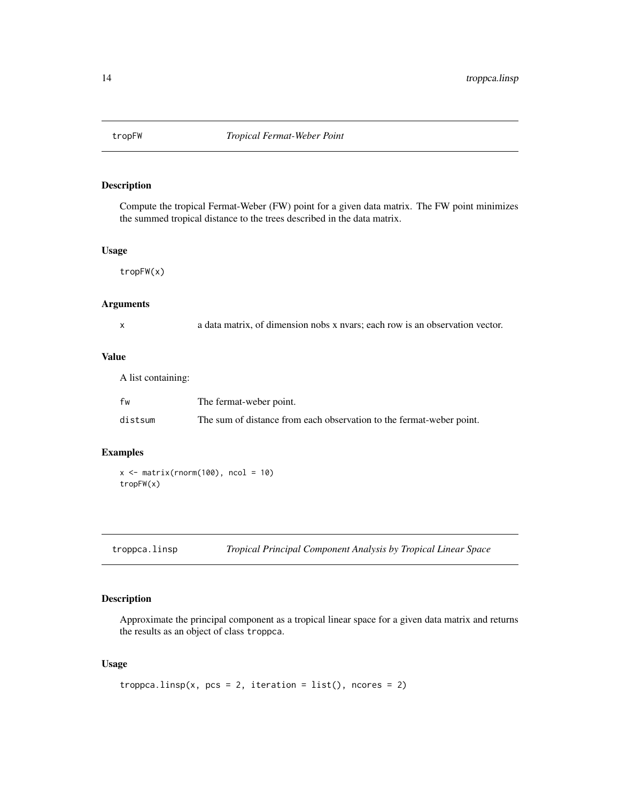<span id="page-13-0"></span>

Compute the tropical Fermat-Weber (FW) point for a given data matrix. The FW point minimizes the summed tropical distance to the trees described in the data matrix.

#### Usage

tropFW(x)

#### Arguments

|  |        | ¢ |  |
|--|--------|---|--|
|  |        |   |  |
|  | I<br>٦ |   |  |

x a data matrix, of dimension nobs x nvars; each row is an observation vector.

# Value

A list containing:

| fw      | The fermat-weber point.                                              |
|---------|----------------------------------------------------------------------|
| distsum | The sum of distance from each observation to the fermat-weber point. |

# Examples

 $x \leftarrow \text{matrix}(rnorm(100), ncol = 10)$ tropFW(x)

troppca.linsp *Tropical Principal Component Analysis by Tropical Linear Space*

# Description

Approximate the principal component as a tropical linear space for a given data matrix and returns the results as an object of class troppca.

# Usage

```
troppca.linsp(x, pcs = 2, iteration = list(), ncores = 2)
```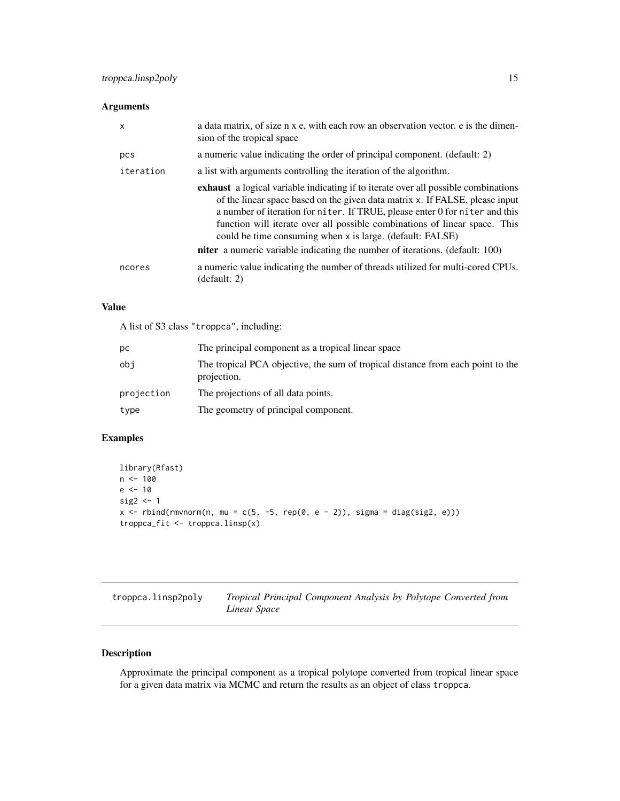# <span id="page-14-0"></span>Arguments

| $\boldsymbol{\mathsf{x}}$ | a data matrix, of size n x e, with each row an observation vector. e is the dimen-<br>sion of the tropical space                                                                                                                                                                                                                                                                                    |
|---------------------------|-----------------------------------------------------------------------------------------------------------------------------------------------------------------------------------------------------------------------------------------------------------------------------------------------------------------------------------------------------------------------------------------------------|
| pcs                       | a numeric value indicating the order of principal component. (default: 2)                                                                                                                                                                                                                                                                                                                           |
| iteration                 | a list with arguments controlling the iteration of the algorithm.                                                                                                                                                                                                                                                                                                                                   |
|                           | <b>exhaust</b> a logical variable indicating if to iterate over all possible combinations<br>of the linear space based on the given data matrix x. If FALSE, please input<br>a number of iteration for niter. If TRUE, please enter 0 for niter and this<br>function will iterate over all possible combinations of linear space. This<br>could be time consuming when x is large. (default: FALSE) |
|                           | <b>niter</b> a numeric variable indicating the number of iterations. (default: 100)                                                                                                                                                                                                                                                                                                                 |
| ncores                    | a numeric value indicating the number of threads utilized for multi-cored CPUs.<br>(default: 2)                                                                                                                                                                                                                                                                                                     |

# Value

A list of S3 class "troppca", including:

| pс         | The principal component as a tropical linear space                                             |
|------------|------------------------------------------------------------------------------------------------|
| obi        | The tropical PCA objective, the sum of tropical distance from each point to the<br>projection. |
| projection | The projections of all data points.                                                            |
| type       | The geometry of principal component.                                                           |

# Examples

```
library(Rfast)
n <- 100
e <- 10
sig2 <- 1
x \le rbind(rmvnorm(n, mu = c(5, -5, rep(0, e - 2)), sigma = diag(sig2, e)))
troppca_fit <- troppca.linsp(x)
```

| troppca.linsp2poly | Tropical Principal Component Analysis by Polytope Converted from |
|--------------------|------------------------------------------------------------------|
|                    | Linear Space                                                     |

# Description

Approximate the principal component as a tropical polytope converted from tropical linear space for a given data matrix via MCMC and return the results as an object of class troppca.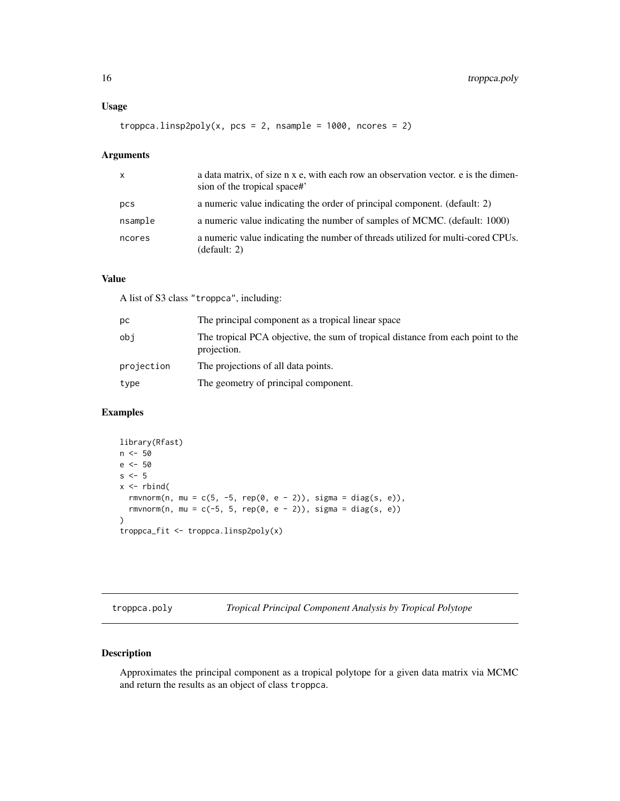#### <span id="page-15-0"></span>Usage

troppca.linsp2poly(x, pcs = 2, nsample =  $1000$ , ncores = 2)

# Arguments

| $\mathsf{x}$ | a data matrix, of size n x e, with each row an observation vector, e is the dimen-<br>sion of the tropical space# |
|--------------|-------------------------------------------------------------------------------------------------------------------|
| pcs          | a numeric value indicating the order of principal component. (default: 2)                                         |
| nsample      | a numeric value indicating the number of samples of MCMC. (default: 1000)                                         |
| ncores       | a numeric value indicating the number of threads utilized for multi-cored CPUs.<br>(default: 2)                   |

# Value

A list of S3 class "troppca", including:

| pс         | The principal component as a tropical linear space                                             |
|------------|------------------------------------------------------------------------------------------------|
| obi        | The tropical PCA objective, the sum of tropical distance from each point to the<br>projection. |
| projection | The projections of all data points.                                                            |
| type       | The geometry of principal component.                                                           |

# Examples

```
library(Rfast)
n <- 50
e <- 50
s \leq -5x \le- rbind(
  rmvnorm(n, mu = c(5, -5, rep(0, e - 2)), sigma = diag(s, e)),
  rmvnorm(n, mu = c(-5, 5, rep(0, e - 2)), sigma = diag(s, e))
\mathcal{L}troppca_fit <- troppca.linsp2poly(x)
```
troppca.poly *Tropical Principal Component Analysis by Tropical Polytope*

# Description

Approximates the principal component as a tropical polytope for a given data matrix via MCMC and return the results as an object of class troppca.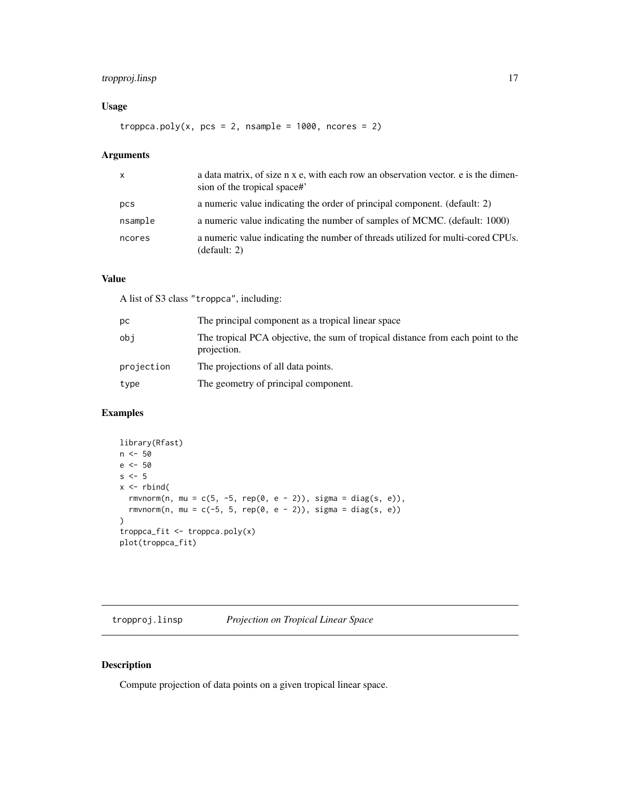# <span id="page-16-0"></span>tropproj.linsp 17

# Usage

troppca.poly(x,  $pcs = 2$ , nsample = 1000, ncores = 2)

# Arguments

| $\mathsf{x}$ | a data matrix, of size n x e, with each row an observation vector, e is the dimen-<br>sion of the tropical space# |
|--------------|-------------------------------------------------------------------------------------------------------------------|
| pcs          | a numeric value indicating the order of principal component. (default: 2)                                         |
| nsample      | a numeric value indicating the number of samples of MCMC. (default: 1000)                                         |
| ncores       | a numeric value indicating the number of threads utilized for multi-cored CPUs.<br>(default: 2)                   |

# Value

A list of S3 class "troppca", including:

| pс         | The principal component as a tropical linear space                                             |
|------------|------------------------------------------------------------------------------------------------|
| obi        | The tropical PCA objective, the sum of tropical distance from each point to the<br>projection. |
| projection | The projections of all data points.                                                            |
| type       | The geometry of principal component.                                                           |

# Examples

```
library(Rfast)
n <- 50
e <- 50
s \leq -5x \leftarrow \text{rbind}(rmvnorm(n, mu = c(5, -5, rep(0, e - 2)), sigma = diag(s, e)),
  rmvnorm(n, mu = c(-5, 5, rep(0, e - 2)), sigma = diag(s, e))
)
troppca_fit <- troppca.poly(x)
plot(troppca_fit)
```
tropproj.linsp *Projection on Tropical Linear Space*

# Description

Compute projection of data points on a given tropical linear space.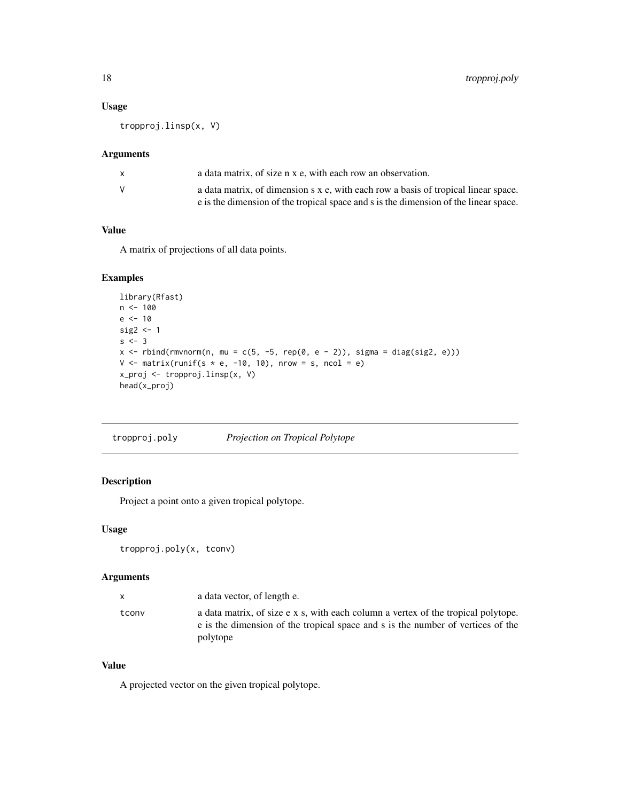# Usage

tropproj.linsp(x, V)

# Arguments

| x. | a data matrix, of size n x e, with each row an observation.                                                                                                                |
|----|----------------------------------------------------------------------------------------------------------------------------------------------------------------------------|
| V  | a data matrix, of dimension s x e, with each row a basis of tropical linear space.<br>e is the dimension of the tropical space and s is the dimension of the linear space. |

# Value

A matrix of projections of all data points.

# Examples

```
library(Rfast)
n < -100e <- 10
sig2 <-1s \leftarrow 3x \le rbind(rmvnorm(n, mu = c(5, -5, rep(0, e - 2)), sigma = diag(sig2, e)))
V \le matrix(runif(s * e, -10, 10), nrow = s, ncol = e)
x_proj <- tropproj.linsp(x, V)
head(x_proj)
```

| tropproj.poly | Projection on Tropical Polytope |
|---------------|---------------------------------|
|               |                                 |

# Description

Project a point onto a given tropical polytope.

# Usage

```
tropproj.poly(x, tconv)
```
# Arguments

|       | a data vector, of length e.                                                                                                                                                      |
|-------|----------------------------------------------------------------------------------------------------------------------------------------------------------------------------------|
| tconv | a data matrix, of size e x s, with each column a vertex of the tropical polytope.<br>e is the dimension of the tropical space and s is the number of vertices of the<br>polytope |

# Value

A projected vector on the given tropical polytope.

<span id="page-17-0"></span>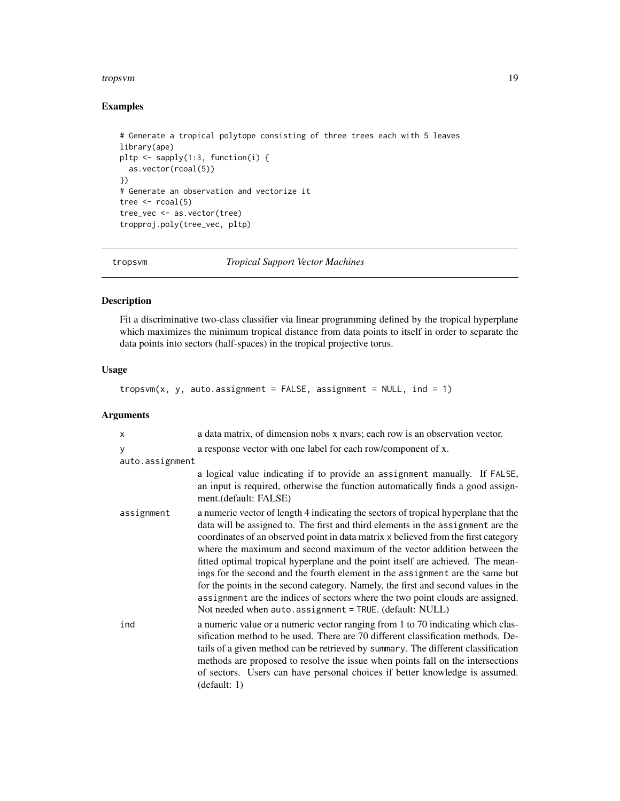#### <span id="page-18-0"></span>tropsvm 19

# Examples

```
# Generate a tropical polytope consisting of three trees each with 5 leaves
library(ape)
pltp <- sapply(1:3, function(i) {
  as.vector(rcoal(5))
})
# Generate an observation and vectorize it
tree \leq rcoal(5)
tree_vec <- as.vector(tree)
tropproj.poly(tree_vec, pltp)
```
tropsvm *Tropical Support Vector Machines*

# Description

Fit a discriminative two-class classifier via linear programming defined by the tropical hyperplane which maximizes the minimum tropical distance from data points to itself in order to separate the data points into sectors (half-spaces) in the tropical projective torus.

# Usage

 $t$ ropsvm $(x, y, auto.assignment = FALSE, assignment = NULL, ind = 1)$ 

# Arguments

| X               | a data matrix, of dimension nobs x nyars; each row is an observation vector.                                                                                                                                                                                                                                                                                                                                                                                                                                                                                                                                                                                                                                                                   |  |
|-----------------|------------------------------------------------------------------------------------------------------------------------------------------------------------------------------------------------------------------------------------------------------------------------------------------------------------------------------------------------------------------------------------------------------------------------------------------------------------------------------------------------------------------------------------------------------------------------------------------------------------------------------------------------------------------------------------------------------------------------------------------------|--|
| y               | a response vector with one label for each row/component of x.                                                                                                                                                                                                                                                                                                                                                                                                                                                                                                                                                                                                                                                                                  |  |
| auto.assignment |                                                                                                                                                                                                                                                                                                                                                                                                                                                                                                                                                                                                                                                                                                                                                |  |
|                 | a logical value indicating if to provide an assignment manually. If FALSE,<br>an input is required, otherwise the function automatically finds a good assign-<br>ment.(default: FALSE)                                                                                                                                                                                                                                                                                                                                                                                                                                                                                                                                                         |  |
| assignment      | a numeric vector of length 4 indicating the sectors of tropical hyperplane that the<br>data will be assigned to. The first and third elements in the assignment are the<br>coordinates of an observed point in data matrix x believed from the first category<br>where the maximum and second maximum of the vector addition between the<br>fitted optimal tropical hyperplane and the point itself are achieved. The mean-<br>ings for the second and the fourth element in the assignment are the same but<br>for the points in the second category. Namely, the first and second values in the<br>assignment are the indices of sectors where the two point clouds are assigned.<br>Not needed when auto.assignment = TRUE. (default: NULL) |  |
| ind             | a numeric value or a numeric vector ranging from 1 to 70 indicating which clas-<br>sification method to be used. There are 70 different classification methods. De-<br>tails of a given method can be retrieved by summary. The different classification<br>methods are proposed to resolve the issue when points fall on the intersections<br>of sectors. Users can have personal choices if better knowledge is assumed.<br>(default: 1)                                                                                                                                                                                                                                                                                                     |  |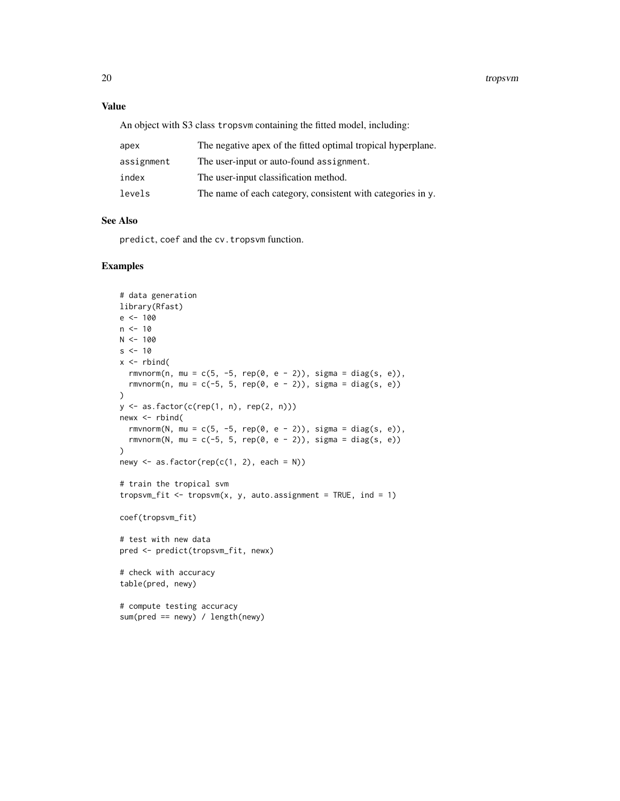#### Value

An object with S3 class tropsvm containing the fitted model, including:

| apex       | The negative apex of the fitted optimal tropical hyperplane. |
|------------|--------------------------------------------------------------|
| assignment | The user-input or auto-found assignment.                     |
| index      | The user-input classification method.                        |
| levels     | The name of each category, consistent with categories in y.  |

# See Also

predict, coef and the cv.tropsvm function.

# Examples

```
# data generation
library(Rfast)
e <- 100
n < -10N < - 100s < -10x \leftarrow \text{rbind}(rmvnorm(n, mu = c(5, -5, rep(0, e - 2)), sigma = diag(s, e)),
  rmvnorm(n, mu = c(-5, 5, rep(0, e - 2)), sigma = diag(s, e))
\mathcal{L}y <- as.factor(c(rep(1, n), rep(2, n)))
newx <- rbind(
  rmvnorm(N, mu = c(5, -5, rep(0, e - 2)), sigma = diag(s, e)),
  rmvnorm(N, mu = c(-5, 5, rep(0, e - 2)), sigma = diag(s, e))
)
newy \leq as. factor(rep(c(1, 2), each = N))
# train the tropical svm
tropsvm_fit <- tropsvm(x, y, auto.assignment = TRUE, ind = 1)
coef(tropsvm_fit)
# test with new data
pred <- predict(tropsvm_fit, newx)
# check with accuracy
table(pred, newy)
# compute testing accuracy
sum(pred == newy) / length(newy)
```